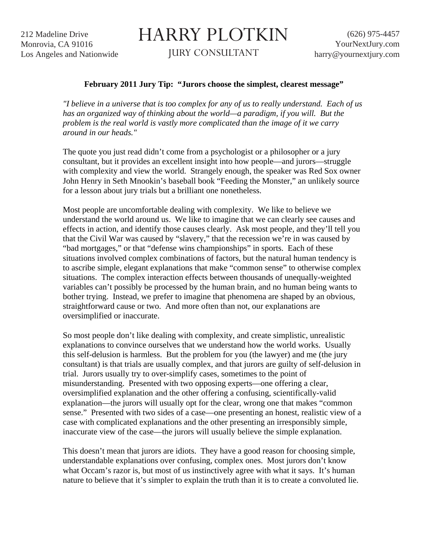212 Madeline Drive Monrovia, CA 91016 Los Angeles and Nationwide

## HARRY PLOTKIN

JURY CONSULTANT

## **February 2011 Jury Tip: "Jurors choose the simplest, clearest message"**

*"I believe in a universe that is too complex for any of us to really understand. Each of us*  has an organized way of thinking about the world—a paradigm, if you will. But the *problem is the real world is vastly more complicated than the image of it we carry around in our heads."* 

The quote you just read didn't come from a psychologist or a philosopher or a jury consultant, but it provides an excellent insight into how people—and jurors—struggle with complexity and view the world. Strangely enough, the speaker was Red Sox owner John Henry in Seth Mnookin's baseball book "Feeding the Monster," an unlikely source for a lesson about jury trials but a brilliant one nonetheless.

Most people are uncomfortable dealing with complexity. We like to believe we understand the world around us. We like to imagine that we can clearly see causes and effects in action, and identify those causes clearly. Ask most people, and they'll tell you that the Civil War was caused by "slavery," that the recession we're in was caused by "bad mortgages," or that "defense wins championships" in sports. Each of these situations involved complex combinations of factors, but the natural human tendency is to ascribe simple, elegant explanations that make "common sense" to otherwise complex situations. The complex interaction effects between thousands of unequally-weighted variables can't possibly be processed by the human brain, and no human being wants to bother trying. Instead, we prefer to imagine that phenomena are shaped by an obvious, straightforward cause or two. And more often than not, our explanations are oversimplified or inaccurate.

So most people don't like dealing with complexity, and create simplistic, unrealistic explanations to convince ourselves that we understand how the world works. Usually this self-delusion is harmless. But the problem for you (the lawyer) and me (the jury consultant) is that trials are usually complex, and that jurors are guilty of self-delusion in trial. Jurors usually try to over-simplify cases, sometimes to the point of misunderstanding. Presented with two opposing experts—one offering a clear, oversimplified explanation and the other offering a confusing, scientifically-valid explanation—the jurors will usually opt for the clear, wrong one that makes "common sense." Presented with two sides of a case—one presenting an honest, realistic view of a case with complicated explanations and the other presenting an irresponsibly simple, inaccurate view of the case—the jurors will usually believe the simple explanation.

This doesn't mean that jurors are idiots. They have a good reason for choosing simple, understandable explanations over confusing, complex ones. Most jurors don't know what Occam's razor is, but most of us instinctively agree with what it says. It's human nature to believe that it's simpler to explain the truth than it is to create a convoluted lie.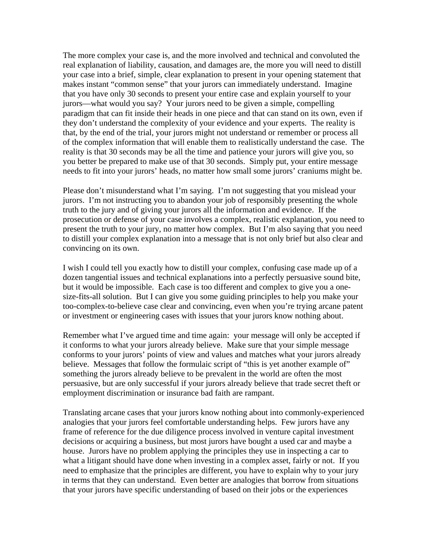The more complex your case is, and the more involved and technical and convoluted the real explanation of liability, causation, and damages are, the more you will need to distill your case into a brief, simple, clear explanation to present in your opening statement that makes instant "common sense" that your jurors can immediately understand. Imagine that you have only 30 seconds to present your entire case and explain yourself to your jurors—what would you say? Your jurors need to be given a simple, compelling paradigm that can fit inside their heads in one piece and that can stand on its own, even if they don't understand the complexity of your evidence and your experts. The reality is that, by the end of the trial, your jurors might not understand or remember or process all of the complex information that will enable them to realistically understand the case. The reality is that 30 seconds may be all the time and patience your jurors will give you, so you better be prepared to make use of that 30 seconds. Simply put, your entire message needs to fit into your jurors' heads, no matter how small some jurors' craniums might be.

Please don't misunderstand what I'm saying. I'm not suggesting that you mislead your jurors. I'm not instructing you to abandon your job of responsibly presenting the whole truth to the jury and of giving your jurors all the information and evidence. If the prosecution or defense of your case involves a complex, realistic explanation, you need to present the truth to your jury, no matter how complex. But I'm also saying that you need to distill your complex explanation into a message that is not only brief but also clear and convincing on its own.

I wish I could tell you exactly how to distill your complex, confusing case made up of a dozen tangential issues and technical explanations into a perfectly persuasive sound bite, but it would be impossible. Each case is too different and complex to give you a onesize-fits-all solution. But I can give you some guiding principles to help you make your too-complex-to-believe case clear and convincing, even when you're trying arcane patent or investment or engineering cases with issues that your jurors know nothing about.

Remember what I've argued time and time again: your message will only be accepted if it conforms to what your jurors already believe. Make sure that your simple message conforms to your jurors' points of view and values and matches what your jurors already believe. Messages that follow the formulaic script of "this is yet another example of" something the jurors already believe to be prevalent in the world are often the most persuasive, but are only successful if your jurors already believe that trade secret theft or employment discrimination or insurance bad faith are rampant.

Translating arcane cases that your jurors know nothing about into commonly-experienced analogies that your jurors feel comfortable understanding helps. Few jurors have any frame of reference for the due diligence process involved in venture capital investment decisions or acquiring a business, but most jurors have bought a used car and maybe a house. Jurors have no problem applying the principles they use in inspecting a car to what a litigant should have done when investing in a complex asset, fairly or not. If you need to emphasize that the principles are different, you have to explain why to your jury in terms that they can understand. Even better are analogies that borrow from situations that your jurors have specific understanding of based on their jobs or the experiences